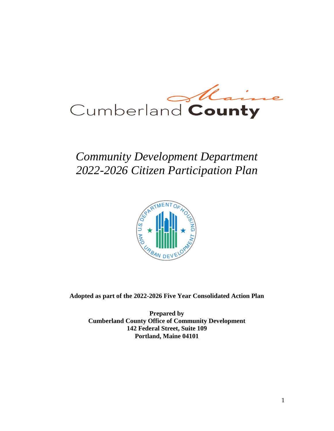

# *Community Development Department 2022-2026 Citizen Participation Plan*



**Adopted as part of the 2022-2026 Five Year Consolidated Action Plan**

**Prepared by Cumberland County Office of Community Development 142 Federal Street, Suite 109 Portland, Maine 04101**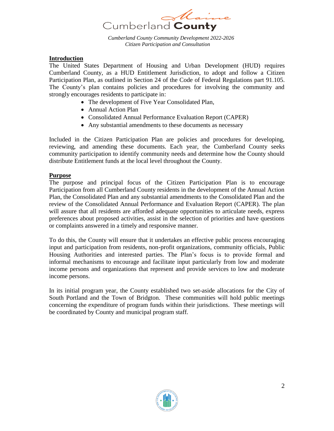

*Cumberland County Community Development 2022-2026 Citizen Participation and Consultation*

#### **Introduction**

The United States Department of Housing and Urban Development (HUD) requires Cumberland County, as a HUD Entitlement Jurisdiction, to adopt and follow a Citizen Participation Plan, as outlined in Section 24 of the Code of Federal Regulations part 91.105. The County's plan contains policies and procedures for involving the community and strongly encourages residents to participate in:

- The development of Five Year Consolidated Plan,
- Annual Action Plan
- Consolidated Annual Performance Evaluation Report (CAPER)
- Any substantial amendments to these documents as necessary

Included in the Citizen Participation Plan are policies and procedures for developing, reviewing, and amending these documents. Each year, the Cumberland County seeks community participation to identify community needs and determine how the County should distribute Entitlement funds at the local level throughout the County.

#### **Purpose**

The purpose and principal focus of the Citizen Participation Plan is to encourage Participation from all Cumberland County residents in the development of the Annual Action Plan, the Consolidated Plan and any substantial amendments to the Consolidated Plan and the review of the Consolidated Annual Performance and Evaluation Report (CAPER). The plan will assure that all residents are afforded adequate opportunities to articulate needs, express preferences about proposed activities, assist in the selection of priorities and have questions or complaints answered in a timely and responsive manner.

To do this, the County will ensure that it undertakes an effective public process encouraging input and participation from residents, non-profit organizations, community officials, Public Housing Authorities and interested parties. The Plan's focus is to provide formal and informal mechanisms to encourage and facilitate input particularly from low and moderate income persons and organizations that represent and provide services to low and moderate income persons.

In its initial program year, the County established two set-aside allocations for the City of South Portland and the Town of Bridgton. These communities will hold public meetings concerning the expenditure of program funds within their jurisdictions. These meetings will be coordinated by County and municipal program staff.

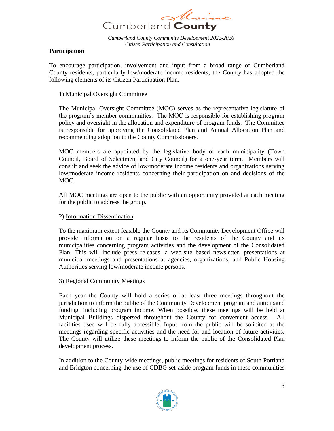

# **Participation**

To encourage participation, involvement and input from a broad range of Cumberland County residents, particularly low/moderate income residents, the County has adopted the following elements of its Citizen Participation Plan.

#### 1) Municipal Oversight Committee

The Municipal Oversight Committee (MOC) serves as the representative legislature of the program's member communities. The MOC is responsible for establishing program policy and oversight in the allocation and expenditure of program funds. The Committee is responsible for approving the Consolidated Plan and Annual Allocation Plan and recommending adoption to the County Commissioners.

MOC members are appointed by the legislative body of each municipality (Town Council, Board of Selectmen, and City Council) for a one-year term. Members will consult and seek the advice of low/moderate income residents and organizations serving low/moderate income residents concerning their participation on and decisions of the MOC.

All MOC meetings are open to the public with an opportunity provided at each meeting for the public to address the group.

#### 2) Information Dissemination

To the maximum extent feasible the County and its Community Development Office will provide information on a regular basis to the residents of the County and its municipalities concerning program activities and the development of the Consolidated Plan. This will include press releases, a web-site based newsletter, presentations at municipal meetings and presentations at agencies, organizations, and Public Housing Authorities serving low/moderate income persons.

#### 3) Regional Community Meetings

Each year the County will hold a series of at least three meetings throughout the jurisdiction to inform the public of the Community Development program and anticipated funding, including program income. When possible, these meetings will be held at Municipal Buildings dispersed throughout the County for convenient access. All facilities used will be fully accessible. Input from the public will be solicited at the meetings regarding specific activities and the need for and location of future activities. The County will utilize these meetings to inform the public of the Consolidated Plan development process.

In addition to the County-wide meetings, public meetings for residents of South Portland and Bridgton concerning the use of CDBG set-aside program funds in these communities

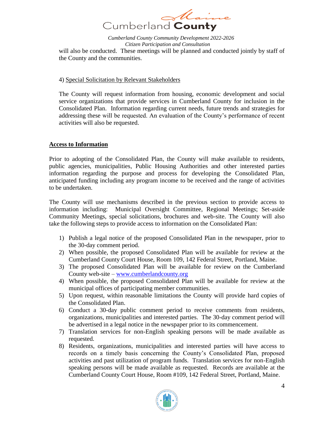

*Cumberland County Community Development 2022-2026 Citizen Participation and Consultation* will also be conducted. These meetings will be planned and conducted jointly by staff of the County and the communities.

#### 4) Special Solicitation by Relevant Stakeholders

The County will request information from housing, economic development and social service organizations that provide services in Cumberland County for inclusion in the Consolidated Plan. Information regarding current needs, future trends and strategies for addressing these will be requested. An evaluation of the County's performance of recent activities will also be requested.

#### **Access to Information**

Prior to adopting of the Consolidated Plan, the County will make available to residents, public agencies, municipalities, Public Housing Authorities and other interested parties information regarding the purpose and process for developing the Consolidated Plan, anticipated funding including any program income to be received and the range of activities to be undertaken.

The County will use mechanisms described in the previous section to provide access to information including: Municipal Oversight Committee, Regional Meetings; Set-aside Community Meetings, special solicitations, brochures and web-site. The County will also take the following steps to provide access to information on the Consolidated Plan:

- 1) Publish a legal notice of the proposed Consolidated Plan in the newspaper, prior to the 30-day comment period.
- 2) When possible, the proposed Consolidated Plan will be available for review at the Cumberland County Court House, Room 109, 142 Federal Street, Portland, Maine.
- 3) The proposed Consolidated Plan will be available for review on the Cumberland County web-site – [www.cumberlandcounty.org](http://www.cumberlandcounty.org/)
- 4) When possible, the proposed Consolidated Plan will be available for review at the municipal offices of participating member communities.
- 5) Upon request, within reasonable limitations the County will provide hard copies of the Consolidated Plan.
- 6) Conduct a 30-day public comment period to receive comments from residents, organizations, municipalities and interested parties. The 30-day comment period will be advertised in a legal notice in the newspaper prior to its commencement.
- 7) Translation services for non-English speaking persons will be made available as requested.
- 8) Residents, organizations, municipalities and interested parties will have access to records on a timely basis concerning the County's Consolidated Plan, proposed activities and past utilization of program funds. Translation services for non-English speaking persons will be made available as requested. Records are available at the Cumberland County Court House, Room #109, 142 Federal Street, Portland, Maine.

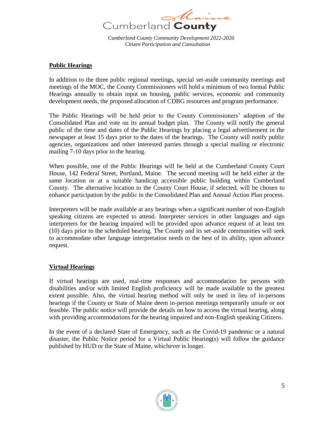

# **Public Hearings**

In addition to the three public regional meetings, special set-aside community meetings and meetings of the MOC, the County Commissioners will hold a minimum of two formal Public Hearings annually to obtain input on housing, public services, economic and community development needs, the proposed allocation of CDBG resources and program performance.

The Public Hearings will be held prior to the County Commissioners' adoption of the Consolidated Plan and vote on its annual budget plan. The County will notify the general public of the time and dates of the Public Hearings by placing a legal advertisement in the newspaper at least 15 days prior to the dates of the hearings. The County will notify public agencies, organizations and other interested parties through a special mailing or electronic mailing 7-10 days prior to the hearing.

When possible, one of the Public Hearings will be held at the Cumberland County Court House, 142 Federal Street, Portland, Maine. The second meeting will be held either at the same location or at a suitable handicap accessible public building within Cumberland County. The alternative location to the County Court House, if selected, will be chosen to enhance participation by the public in the Consolidated Plan and Annual Action Plan process.

Interpreters will be made available at any hearings when a significant number of non-English speaking citizens are expected to attend. Interpreter services in other languages and sign interpreters for the hearing impaired will be provided upon advance request of at least ten (10) days prior to the scheduled hearing. The County and its set-aside communities will seek to accommodate other language interpretation needs to the best of its ability, upon advance request.

# **Virtual Hearings**

If virtual hearings are used, real-time responses and accommodation for persons with disabilities and/or with limited English proficiency will be made available to the greatest extent possible. Also, the virtual hearing method will only be used in lieu of in-persons hearings if the County or State of Maine deem in-person meetings temporarily unsafe or not feasible. The public notice will provide the details on how to access the virtual hearing, along with providing accommodations for the hearing impaired and non-English speaking Citizens.

In the event of a declared State of Emergency, such as the Covid-19 pandemic or a natural disaster, the Public Notice period for a Virtual Public Hearing(s) will follow the guidance published by HUD or the State of Maine, whichever is longer.

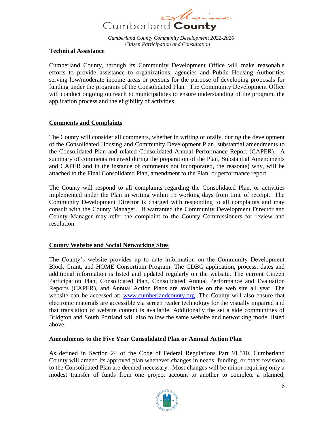

#### **Technical Assistance**

Cumberland County, through its Community Development Office will make reasonable efforts to provide assistance to organizations, agencies and Public Housing Authorities serving low/moderate income areas or persons for the purpose of developing proposals for funding under the programs of the Consolidated Plan. The Community Development Office will conduct ongoing outreach to municipalities to ensure understanding of the program, the application process and the eligibility of activities.

# **Comments and Complaints**

The County will consider all comments, whether in writing or orally, during the development of the Consolidated Housing and Community Development Plan, substantial amendments to the Consolidated Plan and related Consolidated Annual Performance Report (CAPER). A summary of comments received during the preparation of the Plan, Substantial Amendments and CAPER and in the instance of comments not incorporated, the reason(s) why, will be attached to the Final Consolidated Plan, amendment to the Plan, or performance report.

The County will respond to all complaints regarding the Consolidated Plan, or activities implemented under the Plan in writing within 15 working days from time of receipt. The Community Development Director is charged with responding to all complaints and may consult with the County Manager. If warranted the Community Development Director and County Manager may refer the complaint to the County Commissioners for review and resolution.

# **County Website and Social Networking Sites**

The County's website provides up to date information on the Community Development Block Grant, and HOME Consortium Program. The CDBG application, process, dates and additional information is listed and updated regularly on the website. The current Citizen Participation Plan, Consolidated Plan, Consolidated Annual Performance and Evaluation Reports (CAPER), and Annual Action Plans are available on the web site all year. The website can be accessed at: [www.cumberlandcounty.org](http://www.cumberlandcounty.org/) .The County will also ensure that electronic materials are accessible via screen reader technology for the visually impaired and that translation of website content is available. Additionally the set a side communities of Bridgton and South Portland will also follow the same website and networking model listed above.

# **Amendments to the Five Year Consolidated Plan or Annual Action Plan**

As defined in Section 24 of the Code of Federal Regulations Part 91.510, Cumberland County will amend its approved plan whenever changes in needs, funding, or other revisions to the Consolidated Plan are deemed necessary. Most changes will be minor requiring only a modest transfer of funds from one project account to another to complete a planned,

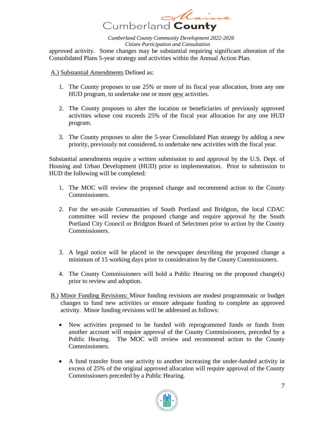

approved activity. Some changes may be substantial requiring significant alteration of the Consolidated Plans 5-year strategy and activities within the Annual Action Plan.

A.) Substantial Amendments Defined as:

- 1. The County proposes to use 25% or more of its fiscal year allocation, from any one HUD program, to undertake one or more new activities.
- 2. The County proposes to alter the location or beneficiaries of previously approved activities whose cost exceeds 25% of the fiscal year allocation for any one HUD program.
- 3. The County proposes to alter the 5-year Consolidated Plan strategy by adding a new priority, previously not considered, to undertake new activities with the fiscal year.

Substantial amendments require a written submission to and approval by the U.S. Dept. of Housing and Urban Development (HUD) prior to implementation. Prior to submission to HUD the following will be completed:

- 1. The MOC will review the proposed change and recommend action to the County Commissioners.
- 2. For the set-aside Communities of South Portland and Bridgton, the local CDAC committee will review the proposed change and require approval by the South Portland City Council or Bridgton Board of Selectmen prior to action by the County Commissioners.
- 3. A legal notice will be placed in the newspaper describing the proposed change a minimum of 15 working days prior to consideration by the County Commissioners.
- 4. The County Commissioners will hold a Public Hearing on the proposed change(s) prior to review and adoption.
- B.) Minor Funding Revisions: Minor funding revisions are modest programmatic or budget changes to fund new activities or ensure adequate funding to complete an approved activity. Minor funding revisions will be addressed as follows:
	- New activities proposed to be funded with reprogrammed funds or funds from another account will require approval of the County Commissioners, preceded by a Public Hearing. The MOC will review and recommend action to the County Commissioners.
	- A fund transfer from one activity to another increasing the under-funded activity in excess of 25% of the original approved allocation will require approval of the County Commissioners preceded by a Public Hearing.

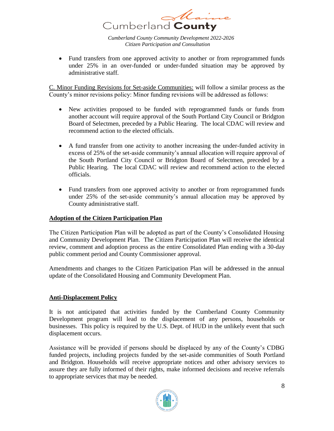

• Fund transfers from one approved activity to another or from reprogrammed funds under 25% in an over-funded or under-funded situation may be approved by administrative staff.

C. Minor Funding Revisions for Set-aside Communities: will follow a similar process as the County's minor revisions policy: Minor funding revisions will be addressed as follows:

- New activities proposed to be funded with reprogrammed funds or funds from another account will require approval of the South Portland City Council or Bridgton Board of Selectmen, preceded by a Public Hearing. The local CDAC will review and recommend action to the elected officials.
- A fund transfer from one activity to another increasing the under-funded activity in excess of 25% of the set-aside community's annual allocation will require approval of the South Portland City Council or Bridgton Board of Selectmen, preceded by a Public Hearing. The local CDAC will review and recommend action to the elected officials.
- Fund transfers from one approved activity to another or from reprogrammed funds under 25% of the set-aside community's annual allocation may be approved by County administrative staff.

# **Adoption of the Citizen Participation Plan**

The Citizen Participation Plan will be adopted as part of the County's Consolidated Housing and Community Development Plan. The Citizen Participation Plan will receive the identical review, comment and adoption process as the entire Consolidated Plan ending with a 30-day public comment period and County Commissioner approval.

Amendments and changes to the Citizen Participation Plan will be addressed in the annual update of the Consolidated Housing and Community Development Plan.

# **Anti-Displacement Policy**

It is not anticipated that activities funded by the Cumberland County Community Development program will lead to the displacement of any persons, households or businesses. This policy is required by the U.S. Dept. of HUD in the unlikely event that such displacement occurs.

Assistance will be provided if persons should be displaced by any of the County's CDBG funded projects, including projects funded by the set-aside communities of South Portland and Bridgton. Households will receive appropriate notices and other advisory services to assure they are fully informed of their rights, make informed decisions and receive referrals to appropriate services that may be needed.

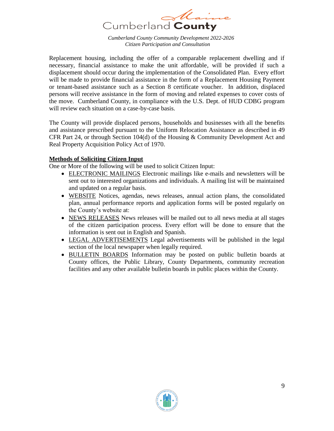

Replacement housing, including the offer of a comparable replacement dwelling and if necessary, financial assistance to make the unit affordable, will be provided if such a displacement should occur during the implementation of the Consolidated Plan. Every effort will be made to provide financial assistance in the form of a Replacement Housing Payment or tenant-based assistance such as a Section 8 certificate voucher. In addition, displaced persons will receive assistance in the form of moving and related expenses to cover costs of the move. Cumberland County, in compliance with the U.S. Dept. of HUD CDBG program will review each situation on a case-by-case basis.

The County will provide displaced persons, households and businesses with all the benefits and assistance prescribed pursuant to the Uniform Relocation Assistance as described in 49 CFR Part 24, or through Section 104(d) of the Housing & Community Development Act and Real Property Acquisition Policy Act of 1970.

# **Methods of Soliciting Citizen Input**

One or More of the following will be used to solicit Citizen Input:

- ELECTRONIC MAILINGS Electronic mailings like e-mails and newsletters will be sent out to interested organizations and individuals. A mailing list will be maintained and updated on a regular basis.
- WEBSITE Notices, agendas, news releases, annual action plans, the consolidated plan, annual performance reports and application forms will be posted regularly on the County's website at:
- NEWS RELEASES News releases will be mailed out to all news media at all stages of the citizen participation process. Every effort will be done to ensure that the information is sent out in English and Spanish.
- LEGAL ADVERTISEMENTS Legal advertisements will be published in the legal section of the local newspaper when legally required.
- BULLETIN BOARDS Information may be posted on public bulletin boards at County offices, the Public Library, County Departments, community recreation facilities and any other available bulletin boards in public places within the County.